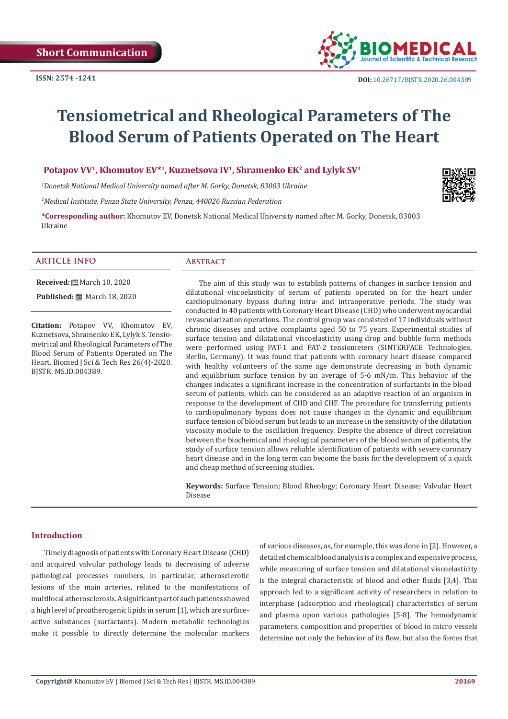

# **Tensiometrical and Rheological Parameters of The Blood Serum of Patients Operated on The Heart**

## **Potapov VV1, Khomutov EV\*1, Kuznetsova IV1, Shramenko EK2 and Lylyk SV1**

*1 Donetsk National Medical University named after M. Gorky, Donetsk, 83003 Ukraine*

*2 Medical Institute, Penza State University, Penza, 440026 Russian Federation*

**\*Corresponding author:** Khomutov EV, Donetsk National Medical University named after M. Gorky, Donetsk, 83003 Ukraine

## **ARTICLE INFO Abstract**

**Received:** March 10, 2020

**Published:** ■ March 18, 2020

**Citation:** Potapov VV, Khomutov EV, Kuznetsova, Shramenko EK, Lylyk S. Tensiometrical and Rheological Parameters of The Blood Serum of Patients Operated on The Heart. Biomed J Sci & Tech Res 26(4)-2020. BJSTR. MS.ID.004389.

The aim of this study was to establish patterns of changes in surface tension and dilatational viscoelasticity of serum of patients operated on for the heart under cardiopulmonary bypass during intra- and intraoperative periods. The study was conducted in 40 patients with Coronary Heart Disease (CHD) who underwent myocardial revascularization operations. The control group was consisted of 17 individuals without chronic diseases and active complaints aged 50 to 75 years. Experimental studies of surface tension and dilatational viscoelasticity using drop and bubble form methods were performed using PAT-1 and PAT-2 tensiometers (SINTERFACE Technologies, Berlin, Germany). It was found that patients with coronary heart disease compared with healthy volunteers of the same age demonstrate decreasing in both dynamic and equilibrium surface tension by an average of 5-6 mN/m. This behavior of the changes indicates a significant increase in the concentration of surfactants in the blood serum of patients, which can be considered as an adaptive reaction of an organism in response to the development of CHD and CHF. The procedure for transferring patients to cardiopulmonary bypass does not cause changes in the dynamic and equilibrium surface tension of blood serum but leads to an increase in the sensitivity of the dilatation viscosity module to the oscillation frequency. Despite the absence of direct correlation between the biochemical and rheological parameters of the blood serum of patients, the study of surface tension allows reliable identification of patients with severe coronary heart disease and in the long term can become the basis for the development of a quick and cheap method of screening studies.

**Keywords:** Surface Tension; Blood Rheology; Coronary Heart Disease; Valvular Heart Disease

## **Introduction**

Timely diagnosis of patients with Coronary Heart Disease (CHD) and acquired valvular pathology leads to decreasing of adverse pathological processes numbers, in particular, atherosclerotic lesions of the main arteries, related to the manifestations of multifocal atherosclerosis. A significant part of such patients showed a high level of proatherogenic lipids in serum [1], which are surfaceactive substances (surfactants). Modern metabolic technologies make it possible to directly determine the molecular markers

of various diseases, as, for example, this was done in [2]. However, a detailed chemical blood analysis is a complex and expensive process, while measuring of surface tension and dilatational viscoelasticity is the integral characteristic of blood and other fluids [3,4]. This approach led to a significant activity of researchers in relation to interphase (adsorption and rheological) characteristics of serum and plasma upon various pathologies [5-8]. The hemodynamic parameters, composition and properties of blood in micro vessels determine not only the behavior of its flow, but also the forces that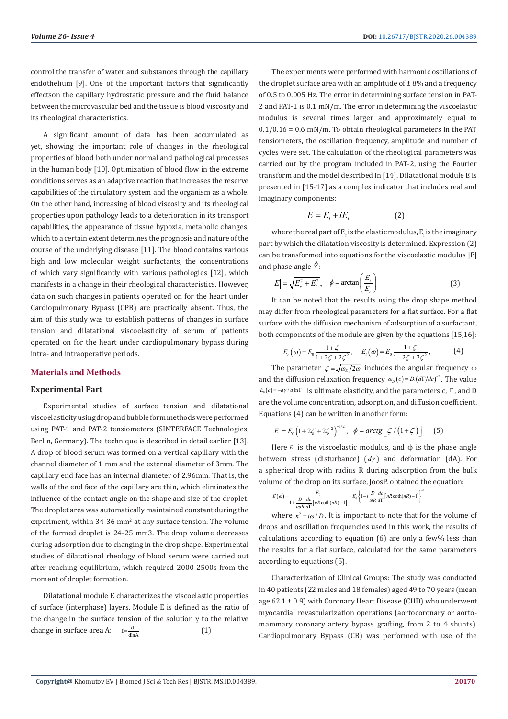control the transfer of water and substances through the capillary endothelium [9]. One of the important factors that significantly effectson the capillary hydrostatic pressure and the fluid balance between the microvascular bed and the tissue is blood viscosity and its rheological characteristics.

A significant amount of data has been accumulated as yet, showing the important role of changes in the rheological properties of blood both under normal and pathological processes in the human body [10]. Optimization of blood flow in the extreme conditions serves as an adaptive reaction that increases the reserve capabilities of the circulatory system and the organism as a whole. On the other hand, increasing of blood viscosity and its rheological properties upon pathology leads to a deterioration in its transport capabilities, the appearance of tissue hypoxia, metabolic changes, which to a certain extent determines the prognosis and nature of the course of the underlying disease [11]. The blood contains various high and low molecular weight surfactants, the concentrations of which vary significantly with various pathologies [12], which manifests in a change in their rheological characteristics. However, data on such changes in patients operated on for the heart under Cardiopulmonary Bypass (CPB) are practically absent. Thus, the aim of this study was to establish patterns of changes in surface tension and dilatational viscoelasticity of serum of patients operated on for the heart under cardiopulmonary bypass during intra- and intraoperative periods.

## **Materials and Methods**

## **Experimental Part**

Experimental studies of surface tension and dilatational viscoelasticity using drop and bubble form methods were performed using PAT-1 and PAT-2 tensiometers (SINTERFACE Technologies, Berlin, Germany). The technique is described in detail earlier [13]. A drop of blood serum was formed on a vertical capillary with the channel diameter of 1 mm and the external diameter of 3mm. The capillary end face has an internal diameter of 2.96mm. That is, the walls of the end face of the capillary are thin, which eliminates the influence of the contact angle on the shape and size of the droplet. The droplet area was automatically maintained constant during the experiment, within 34-36 mm<sup>2</sup> at any surface tension. The volume of the formed droplet is 24-25 mm3. The drop volume decreases during adsorption due to changing in the drop shape. Experimental studies of dilatational rheology of blood serum were carried out after reaching equilibrium, which required 2000-2500s from the moment of droplet formation.

Dilatational module E characterizes the viscoelastic properties of surface (interphase) layers. Module E is defined as the ratio of the change in the surface tension of the solution  $γ$  to the relative change in surface area A:  $E = \frac{d}{dt}$ (1)

The experiments were performed with harmonic oscillations of the droplet surface area with an amplitude of  $\pm$  8% and a frequency of 0.5 to 0.005 Hz. The error in determining surface tension in PAT-2 and PAT-1 is 0.1 mN/m. The error in determining the viscoelastic modulus is several times larger and approximately equal to  $0.1/0.16 = 0.6$  mN/m. To obtain rheological parameters in the PAT tensiometers, the oscillation frequency, amplitude and number of cycles were set. The calculation of the rheological parameters was carried out by the program included in PAT-2, using the Fourier transform and the model described in [14]. Dilatational module E is presented in [15-17] as a complex indicator that includes real and imaginary components:

$$
E = E_i + iE_i \tag{2}
$$

where the real part of  $E_r$  is the elastic modulus,  $E_i$  is the imaginary part by which the dilatation viscosity is determined. Expression (2) can be transformed into equations for the viscoelastic modulus |E| and phase angle  $\phi$ :

$$
|E| = \sqrt{E_r^2 + E_i^2}, \quad \phi = \arctan\left(\frac{E_i}{E_r}\right)
$$
 (3)

It can be noted that the results using the drop shape method may differ from rheological parameters for a flat surface. For a flat surface with the diffusion mechanism of adsorption of a surfactant, both components of the module are given by the equations [15,16]:

$$
E_r(\omega) = E_0 \frac{1+\zeta}{1+2\zeta+2\zeta^2}, \quad E_i(\omega) = E_0 \frac{1+\zeta}{1+2\zeta+2\zeta^2}, \tag{4}
$$

The parameter  $\zeta = \sqrt{\omega_D/2\omega}$  includes the angular frequency  $\omega$ and the diffusion relaxation frequency  $\omega_p(c) = D \left( d\Gamma/dc \right)^{-2}$ . The value  $E_0(c) = -\frac{dy}{d \ln \Gamma}$  is ultimate elasticity, and the parameters c,  $\Gamma$ , and D are the volume concentration, adsorption, and diffusion coefficient. Equations (4) can be written in another form:

$$
|E| = E_0 \left( 1 + 2\zeta + 2\zeta^2 \right)^{-1/2}, \ \ \phi = \arctg \left[ \zeta / \left( 1 + \zeta \right) \right] \tag{5}
$$

Here  $|E|$  is the viscoelastic modulus, and  $\phi$  is the phase angle between stress (disturbance) ( *d*<sup>γ</sup> ) and deformation (dA). For a spherical drop with radius R during adsorption from the bulk volume of the drop on its surface, JoosP. obtained the equation:

$$
E(\omega) = \frac{E_0}{1 + \frac{D}{i\omega R} \frac{dc}{d\Gamma} \left[ nR \coth(nR) - 1 \right]} = E_0 \left\{ 1 - i \frac{D}{\omega R} \frac{dc}{d\Gamma} \left[ nR \coth(nR) - 1 \right] \right\}^{-1}
$$

where  $n^2 = i\omega/D$ . It is important to note that for the volume of drops and oscillation frequencies used in this work, the results of calculations according to equation (6) are only a few% less than the results for a flat surface, calculated for the same parameters according to equations (5).

Characterization of Clinical Groups: The study was conducted in 40 patients (22 males and 18 females) aged 49 to 70 years (mean age 62.1 ± 0.9) with Coronary Heart Disease (CHD) who underwent myocardial revascularization operations (aortocoronary or aortomammary coronary artery bypass grafting, from 2 to 4 shunts). Cardiopulmonary Bypass (CB) was performed with use of the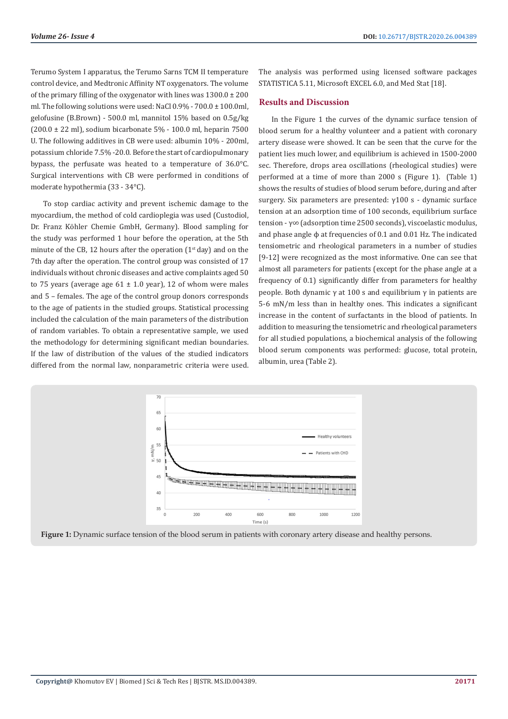Terumo System I apparatus, the Terumo Sarns TCM II temperature control device, and Medtronic Affinity NT oxygenators. The volume of the primary filling of the oxygenator with lines was  $1300.0 \pm 200$ ml. The following solutions were used: NaCl  $0.9\%$  -  $700.0 \pm 100.0$ ml, gelofusine (B.Brown) - 500.0 ml, mannitol 15% based on 0.5g/kg (200.0  $\pm$  22 ml), sodium bicarbonate 5% - 100.0 ml, heparin 7500 U. The following additives in CB were used: albumin 10% - 200ml, potassium chloride 7.5% -20.0. Before the start of cardiopulmonary bypass, the perfusate was heated to a temperature of 36.0°C. Surgical interventions with CB were performed in conditions of moderate hypothermia (33 - 34°C).

To stop cardiac activity and prevent ischemic damage to the myocardium, the method of cold cardioplegia was used (Custodiol, Dr. Franz Köhler Chemie GmbH, Germany). Blood sampling for the study was performed 1 hour before the operation, at the 5th minute of the CB, 12 hours after the operation  $(1<sup>st</sup>$  day) and on the 7th day after the operation. The control group was consisted of 17 individuals without chronic diseases and active complaints aged 50 to 75 years (average age  $61 \pm 1.0$  year), 12 of whom were males and 5 – females. The age of the control group donors corresponds to the age of patients in the studied groups. Statistical processing included the calculation of the main parameters of the distribution of random variables. To obtain a representative sample, we used the methodology for determining significant median boundaries. If the law of distribution of the values of the studied indicators differed from the normal law, nonparametric criteria were used.

The analysis was performed using licensed software packages STATISTICA 5.11, Microsoft EXCEL 6.0, and Med Stat [18].

## **Results and Discussion**

In the Figure 1 the curves of the dynamic surface tension of blood serum for a healthy volunteer and a patient with coronary artery disease were showed. It can be seen that the curve for the patient lies much lower, and equilibrium is achieved in 1500-2000 sec. Therefore, drops area oscillations (rheological studies) were performed at a time of more than 2000 s (Figure 1). (Table 1) shows the results of studies of blood serum before, during and after surgery. Six parameters are presented: γ100 s - dynamic surface tension at an adsorption time of 100 seconds, equilibrium surface tension - γ∞ (adsorption time 2500 seconds), viscoelastic modulus, and phase angle ϕ at frequencies of 0.1 and 0.01 Hz. The indicated tensiometric and rheological parameters in a number of studies [9-12] were recognized as the most informative. One can see that almost all parameters for patients (except for the phase angle at a frequency of 0.1) significantly differ from parameters for healthy people. Both dynamic γ at 100 s and equilibrium γ in patients are 5-6 mN/m less than in healthy ones. This indicates a significant increase in the content of surfactants in the blood of patients. In addition to measuring the tensiometric and rheological parameters for all studied populations, a biochemical analysis of the following blood serum components was performed: glucose, total protein, albumin, urea (Table 2).



**Figure 1:** Dynamic surface tension of the blood serum in patients with coronary artery disease and healthy persons.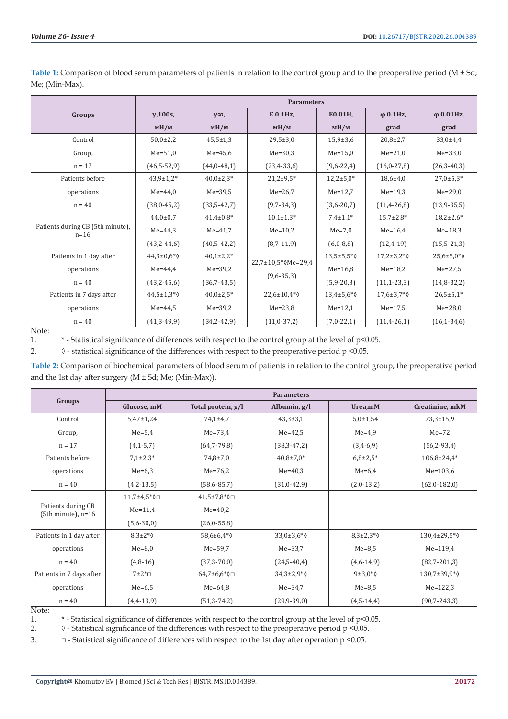|                                            | <b>Parameters</b>       |                  |                                                  |                         |                         |                         |  |  |
|--------------------------------------------|-------------------------|------------------|--------------------------------------------------|-------------------------|-------------------------|-------------------------|--|--|
| Groups                                     | $\gamma$ , 100s,        | $\gamma\infty$ , | E 0.1Hz,                                         | E0.01H,                 | $\varphi$ 0.1Hz,        | $\varphi$ 0.01Hz,       |  |  |
|                                            | M <sub>M</sub>          | M/M              | M/M                                              | M <sub>M</sub>          | grad                    | grad                    |  |  |
| Control                                    | $50,0{\pm}2,2$          | $45,5 \pm 1,3$   | $29,5 \pm 3,0$                                   | $15,9 \pm 3,6$          | $20,8{\pm}2,7$          | $33,0+4,4$              |  |  |
| Group,                                     | $Me = 51,0$             | $Me = 45,6$      | $Me=30.3$                                        | $Me = 15.0$             | $Me = 21,0$             | $Me = 33,0$             |  |  |
| $n = 17$                                   | $(46,5-52,9)$           | $(44,0-48,1)$    | $(23, 4-33, 6)$                                  | $(9,6-22,4)$            | $(16, 0 - 27, 8)$       | $(26,3-40,3)$           |  |  |
| Patients before                            | $43,9 \pm 1,2^*$        | $40,0{\pm}2,3*$  | $21,2+9,5*$                                      | $12,2+5,0*$             | $18,6{\pm}4,0$          | $27,0±5,3*$             |  |  |
| operations                                 | $Me = 44.0$             | $Me = 39.5$      | $Me = 26.7$                                      | $Me = 12.7$             | $Me = 19.3$             | $Me=29,0$               |  |  |
| $n = 40$                                   | $(38,0-45,2)$           | $(33,5-42,7)$    | $(9,7-34,3)$                                     | $(3,6-20,7)$            | $(11, 4 - 26, 8)$       | $(13,9-35,5)$           |  |  |
| Patients during CB (5th minute),<br>$n=16$ | $44,0 \pm 0.7$          | $41,4\pm0.8*$    | $10,1{\pm}1,3*$                                  | $7,4\pm1,1*$            | $15,7{\pm}2,8*$         | $18,2{\pm}2,6*$         |  |  |
|                                            | $Me = 44.3$             | $Me = 41.7$      | $Me=10.2$                                        | $Me=7.0$                | $Me = 16.4$             | $Me = 18,3$             |  |  |
|                                            | $(43,2-44,6)$           | $(40,5-42,2)$    | $(8,7-11,9)$                                     | $(6,0-8,8)$             | $(12, 4-19)$            | $(15,5-21,3)$           |  |  |
| Patients in 1 day after                    | $44,3 \pm 0.6*$         | $40,1\pm2,2*$    | $22,7 \pm 10,5 \times 0$ Me=29,4<br>$(9,6-35,3)$ | 13,5±5,5*0              | $17,2+3,2*\,$           | $25,6 \pm 5,0 \times 0$ |  |  |
| operations                                 | $Me = 44.4$             | $Me = 39,2$      |                                                  | $Me = 16,8$             | $Me = 18,2$             | $Me = 27,5$             |  |  |
| $n = 40$                                   | $(43,2-45,6)$           | $(36,7-43,5)$    |                                                  | $(5,9-20,3)$            | $(11, 1 - 23, 3)$       | $(14,8-32,2)$           |  |  |
| Patients in 7 days after                   | $44,5 \pm 1,3 \times 0$ | $40.0 \pm 2.5$ * | $22,6 \pm 10,4^*$                                | $13,4 \pm 5,6 \times 0$ | $17,6 \pm 3,7 \times 0$ | $26,5 \pm 5,1*$         |  |  |
| operations                                 | $Me = 44.5$             | $Me = 39.2$      | $Me = 23,8$                                      | $Me = 12,1$             | $Me = 17.5$             | $Me = 28,0$             |  |  |
| $n = 40$                                   | $(41,3-49,9)$           | $(34,2-42,9)$    | $(11,0-37,2)$                                    | $(7,0-22,1)$            | $(11,4-26,1)$           | $(16, 1 - 34, 6)$       |  |  |

Table 1: Comparison of blood serum parameters of patients in relation to the control group and to the preoperative period (M ± Sd; Me; (Min-Max).

Note:

1. \* - Statistical significance of differences with respect to the control group at the level of p<0.05.

2.  $\Diamond$  - statistical significance of the differences with respect to the preoperative period p <0.05.

**Table 2:** Comparison of biochemical parameters of blood serum of patients in relation to the control group, the preoperative period and the 1st day after surgery  $(M \pm Sd; Me; (Min-Max))$ .

|                                             | <b>Parameters</b> |                         |                 |                  |                   |  |  |  |
|---------------------------------------------|-------------------|-------------------------|-----------------|------------------|-------------------|--|--|--|
| Groups                                      | Glucose, mM       | Total protein, g/l      | Albumin, g/l    | Urea,mM          | Creatinine, mkM   |  |  |  |
| Control                                     | $5,47 \pm 1,24$   | $74,1 \pm 4,7$          | $43,3 \pm 3,1$  | $5,0{\pm}1,54$   | $73,3 \pm 15,9$   |  |  |  |
| Group,                                      | $Me=5.4$          | $Me=73.4$               | $Me = 42.5$     | $Me=4.9$         | $Me=72$           |  |  |  |
| $n = 17$                                    | $(4, 1 - 5, 7)$   | $(64,7-79,8)$           | $(38,3-47,2)$   | $(3,4-6,9)$      | $(56, 2-93, 4)$   |  |  |  |
| Patients before                             | $7,1\pm2,3*$      | $74,8 \pm 7,0$          | $40,8{\pm}7,0*$ | $6,8{\pm}2,5*$   | $106,8{\pm}24,4*$ |  |  |  |
| operations                                  | $Me=6,3$          | $Me = 76,2$             | $Me = 40.3$     | $Me=6.4$         | $Me = 103,6$      |  |  |  |
| $n = 40$                                    | $(4,2-13,5)$      | $(58,6-85,7)$           | $(31,0-42,9)$   | $(2,0-13,2)$     | $(62,0-182,0)$    |  |  |  |
| Patients during CB<br>$(5th minute)$ , n=16 | 11,7±4,5*0□       | $41,5 \pm 7,8 \times 0$ |                 |                  |                   |  |  |  |
|                                             | $Me = 11.4$       | $Me = 40.2$             |                 |                  |                   |  |  |  |
|                                             | $(5,6-30,0)$      | (26, 0.55, 8)           |                 |                  |                   |  |  |  |
| Patients in 1 day after                     | $8.3\pm2*\circ$   | 58,6±6,4*0              | $33,0+3,6*$     | $8,3{\pm}2,3*$   | 130,4±29,5*0      |  |  |  |
| operations                                  | $Me=8.0$          | Me=59.7                 | $Me = 33.7$     | $Me=8.5$         | $Me = 119.4$      |  |  |  |
| $n = 40$                                    | $(4,8-16)$        | $(37,3-70,0)$           | $(24,5-40,4)$   | $(4,6-14,9)$     | $(82,7-201,3)$    |  |  |  |
| Patients in 7 days after                    | $7\pm2\text{*}$   | $64,7\pm6,6*\,0$        | $34,3{\pm}2,9*$ | $9±3,0*\lozenge$ | 130,7±39,9*0      |  |  |  |
| operations                                  | $Me=6,5$          | $Me = 64,8$             | $Me = 34.7$     | $Me=8,5$         | $Me = 122,3$      |  |  |  |
| $n = 40$                                    | $(4,4-13,9)$      | $(51,3-74,2)$           | $(29,9-39,0)$   | $(4,5-14,4)$     | $(90,7-243,3)$    |  |  |  |

## Note:

1. \* - Statistical significance of differences with respect to the control group at the level of p<0.05.

2.  $\Diamond$  - Statistical significance of the differences with respect to the preoperative period p <0.05.

3.  $\Box$  - Statistical significance of differences with respect to the 1st day after operation p <0.05.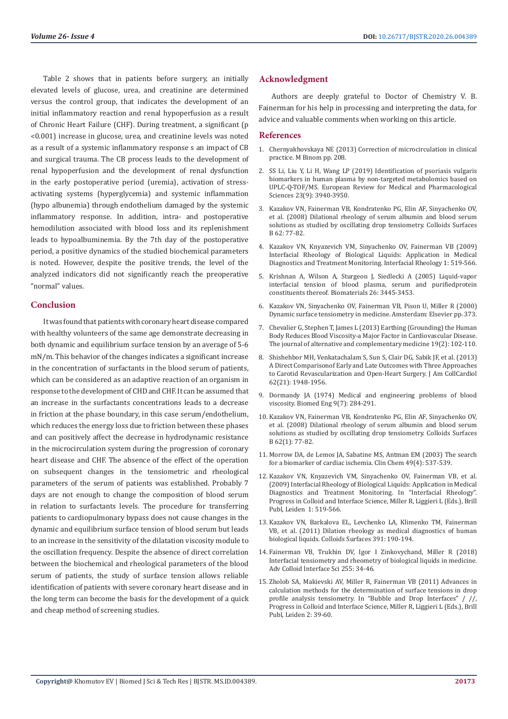Table 2 shows that in patients before surgery, an initially elevated levels of glucose, urea, and creatinine are determined versus the control group, that indicates the development of an initial inflammatory reaction and renal hypoperfusion as a result of Chronic Heart Failure (CHF). During treatment, a significant (p <0.001) increase in glucose, urea, and creatinine levels was noted as a result of a systemic inflammatory response s an impact of CB and surgical trauma. The CB process leads to the development of renal hypoperfusion and the development of renal dysfunction in the early postoperative period (uremia), activation of stressactivating systems (hyperglycemia) and systemic inflammation (hypo albunemia) through endothelium damaged by the systemic inflammatory response. In addition, intra- and postoperative hemodilution associated with blood loss and its replenishment leads to hypoalbuminemia. By the 7th day of the postoperative period, a positive dynamics of the studied biochemical parameters is noted. However, despite the positive trends, the level of the analyzed indicators did not significantly reach the preoperative "normal" values.

## **Conclusion**

It was found that patients with coronary heart disease compared with healthy volunteers of the same age demonstrate decreasing in both dynamic and equilibrium surface tension by an average of 5-6 mN/m. This behavior of the changes indicates a significant increase in the concentration of surfactants in the blood serum of patients, which can be considered as an adaptive reaction of an organism in response to the development of CHD and CHF. It can be assumed that an increase in the surfactants concentrations leads to a decrease in friction at the phase boundary, in this case serum/endothelium, which reduces the energy loss due to friction between these phases and can positively affect the decrease in hydrodynamic resistance in the microcirculation system during the progression of coronary heart disease and CHF. The absence of the effect of the operation on subsequent changes in the tensiometric and rheological parameters of the serum of patients was established. Probably 7 days are not enough to change the composition of blood serum in relation to surfactants levels. The procedure for transferring patients to cardiopulmonary bypass does not cause changes in the dynamic and equilibrium surface tension of blood serum but leads to an increase in the sensitivity of the dilatation viscosity module to the oscillation frequency. Despite the absence of direct correlation between the biochemical and rheological parameters of the blood serum of patients, the study of surface tension allows reliable identification of patients with severe coronary heart disease and in the long term can become the basis for the development of a quick and cheap method of screening studies.

## **Acknowledgment**

Authors are deeply grateful to Doctor of Chemistry V. B. Fainerman for his help in processing and interpreting the data, for advice and valuable comments when working on this article.

## **References**

- 1. Chernyakhovskaya NE (2013) Correction of microcirculation in clinical practice. M Binom pp. 208.
- 2. [SS Li, Liu Y, Li H, Wang LP \(2019\) Identification of psoriasis vulgaris](https://www.ncbi.nlm.nih.gov/pubmed/31115022) [biomarkers in human plasma by non-targeted metabolomics based on](https://www.ncbi.nlm.nih.gov/pubmed/31115022) [UPLC-Q-TOF/MS. European Review for Medical and Pharmacological](https://www.ncbi.nlm.nih.gov/pubmed/31115022) [Sciences 23\(9\): 3940-3950.](https://www.ncbi.nlm.nih.gov/pubmed/31115022)
- 3. [Kazakov VN, Fainerman VB, Kondratenko PG, Elin AF, Sinyachenko OV,](http://europepmc.org/article/med/17980559) [et al. \(2008\) Dilational rheology of serum albumin and blood serum](http://europepmc.org/article/med/17980559) [solutions as studied by oscillating drop tensiometry. Colloids Surfaces](http://europepmc.org/article/med/17980559) [B 62: 77-82.](http://europepmc.org/article/med/17980559)
- 4. [Kazakov VN, Knyazevich VM, Sinyachenko OV, Fainerman VB \(2009\)](https://www.researchgate.net/publication/329319460_Interfacial_rheology_of_biological_liquids_Application_in_medical_diagnostics_and_treatment_monitoring) [Interfacial Rheology of Biological Liquids: Application in Medical](https://www.researchgate.net/publication/329319460_Interfacial_rheology_of_biological_liquids_Application_in_medical_diagnostics_and_treatment_monitoring) [Diagnostics and Treatment Monitoring. Interfacial Rheology 1: 519-566.](https://www.researchgate.net/publication/329319460_Interfacial_rheology_of_biological_liquids_Application_in_medical_diagnostics_and_treatment_monitoring)
- 5. [Krishnan A, Wilson A, Sturgeon J, Siedlecki A \(2005\) Liquid-vapor](https://www.ncbi.nlm.nih.gov/pubmed/15621233) [interfacial tension of blood plasma, serum and purifiedprotein](https://www.ncbi.nlm.nih.gov/pubmed/15621233) [constituents thereof. Biomaterials 26: 3445-3453.](https://www.ncbi.nlm.nih.gov/pubmed/15621233)
- 6. [Kazakov VN, Sinyachenko OV, Fainerman VB, Pison U, Miller R \(2000\)](https://www.elsevier.com/books/dynamic-surface-tensiometry-in-medicine/kazakov/978-0-444-50411-1) [Dynamic surface tensiometry in medicine. Amsterdam: Elsevier pp. 373.](https://www.elsevier.com/books/dynamic-surface-tensiometry-in-medicine/kazakov/978-0-444-50411-1)
- 7. [Chevalier G, Stephen T, James L \(2013\) Earthing \(Grounding\) the Human](https://www.ncbi.nlm.nih.gov/pmc/articles/PMC3576907/) [Body Reduces Blood Viscosity-a Major Factor in Cardiovascular Disease.](https://www.ncbi.nlm.nih.gov/pmc/articles/PMC3576907/) [The journal of alternative and complementary medicine 19\(2\): 102-110.](https://www.ncbi.nlm.nih.gov/pmc/articles/PMC3576907/)
- 8. [Shishehbor MH, Venkatachalam S, Sun S, Clair DG, Sabik JF, et al. \(2013\)](https://www.ncbi.nlm.nih.gov/pubmed/23876675) [A Direct Comparisonof Early and Late Outcomes with Three Approaches](https://www.ncbi.nlm.nih.gov/pubmed/23876675) [to Carotid Revascularization and Open-Heart Surgery. J Am CollCardiol](https://www.ncbi.nlm.nih.gov/pubmed/23876675) [62\(21\): 1948-1956.](https://www.ncbi.nlm.nih.gov/pubmed/23876675)
- 9. [Dormandy JA \(1974\) Medical and engineering problems of blood](https://www.ncbi.nlm.nih.gov/pubmed/4276960) [viscosity. Biomed Eng 9\(7\): 284-291.](https://www.ncbi.nlm.nih.gov/pubmed/4276960)
- 10. [Kazakov VN, Fainerman VB, Kondratenko PG, Elin AF, Sinyachenko OV,](https://www.ncbi.nlm.nih.gov/pubmed/17980559) [et al. \(2008\) Dilational rheology of serum albumin and blood serum](https://www.ncbi.nlm.nih.gov/pubmed/17980559) [solutions as studied by oscillating drop tensiometry. Colloids Surfaces](https://www.ncbi.nlm.nih.gov/pubmed/17980559) [B 62\(1\): 77-82.](https://www.ncbi.nlm.nih.gov/pubmed/17980559)
- 11. [Morrow DA, de Lemos JA, Sabatine MS, Antman EM \(2003\) The search](https://www.ncbi.nlm.nih.gov/pubmed/12651803) [for a biomarker of cardiac ischemia. Clin Chem 49\(4\): 537-539.](https://www.ncbi.nlm.nih.gov/pubmed/12651803)
- 12. [Kazakov VN, Knyazevich VM, Sinyachenko OV, Fainerman VB, et al.](https://www.researchgate.net/publication/329319460_Interfacial_rheology_of_biological_liquids_Application_in_medical_diagnostics_and_treatment_monitoring) [\(2009\) Interfacial Rheology of Biological Liquids: Application in Medical](https://www.researchgate.net/publication/329319460_Interfacial_rheology_of_biological_liquids_Application_in_medical_diagnostics_and_treatment_monitoring) [Diagnostics and Treatment Monitoring. In "Interfacial Rheology".](https://www.researchgate.net/publication/329319460_Interfacial_rheology_of_biological_liquids_Application_in_medical_diagnostics_and_treatment_monitoring) [Progress in Colloid and Interface Science, Miller R, Liggieri L \(Eds.\), Brill](https://www.researchgate.net/publication/329319460_Interfacial_rheology_of_biological_liquids_Application_in_medical_diagnostics_and_treatment_monitoring) [Publ, Leiden 1: 519-566.](https://www.researchgate.net/publication/329319460_Interfacial_rheology_of_biological_liquids_Application_in_medical_diagnostics_and_treatment_monitoring)
- 13. Kazakov VN, Barkalova EL, Levchenko LA, Klimenko TM, Fainerman VB, et al. (2011) Dilation rheology as medical diagnostics of human biological liquids. Colloids Surfaces 391: 190-194.
- 14. Fainerman VB, Trukhin DV, Igor I Zinkovychand, Miller R (2018) Interfacial tensiometry and rheometry of biological liquids in medicine. Adv Colloid Interface Sci 255: 34-46.
- 15. [Zholob SA, Makievski AV, Miller R, Fainerman VB \(2011\) Advances in](https://www.researchgate.net/publication/330310593_Advances_in_calculation_methods_for_the_determination_of_surface_tensions_in_drop_profile_analysis_tensiometry) [calculation methods for the determination of surface tensions in drop](https://www.researchgate.net/publication/330310593_Advances_in_calculation_methods_for_the_determination_of_surface_tensions_in_drop_profile_analysis_tensiometry) [profile analysis tensiometry. In "Bubble and Drop Interfaces" / //,](https://www.researchgate.net/publication/330310593_Advances_in_calculation_methods_for_the_determination_of_surface_tensions_in_drop_profile_analysis_tensiometry) [Progress in Colloid and Interface Science, Miller R, Liggieri L \(Eds.\), Brill](https://www.researchgate.net/publication/330310593_Advances_in_calculation_methods_for_the_determination_of_surface_tensions_in_drop_profile_analysis_tensiometry) [Publ, Leiden 2: 39-60.](https://www.researchgate.net/publication/330310593_Advances_in_calculation_methods_for_the_determination_of_surface_tensions_in_drop_profile_analysis_tensiometry)